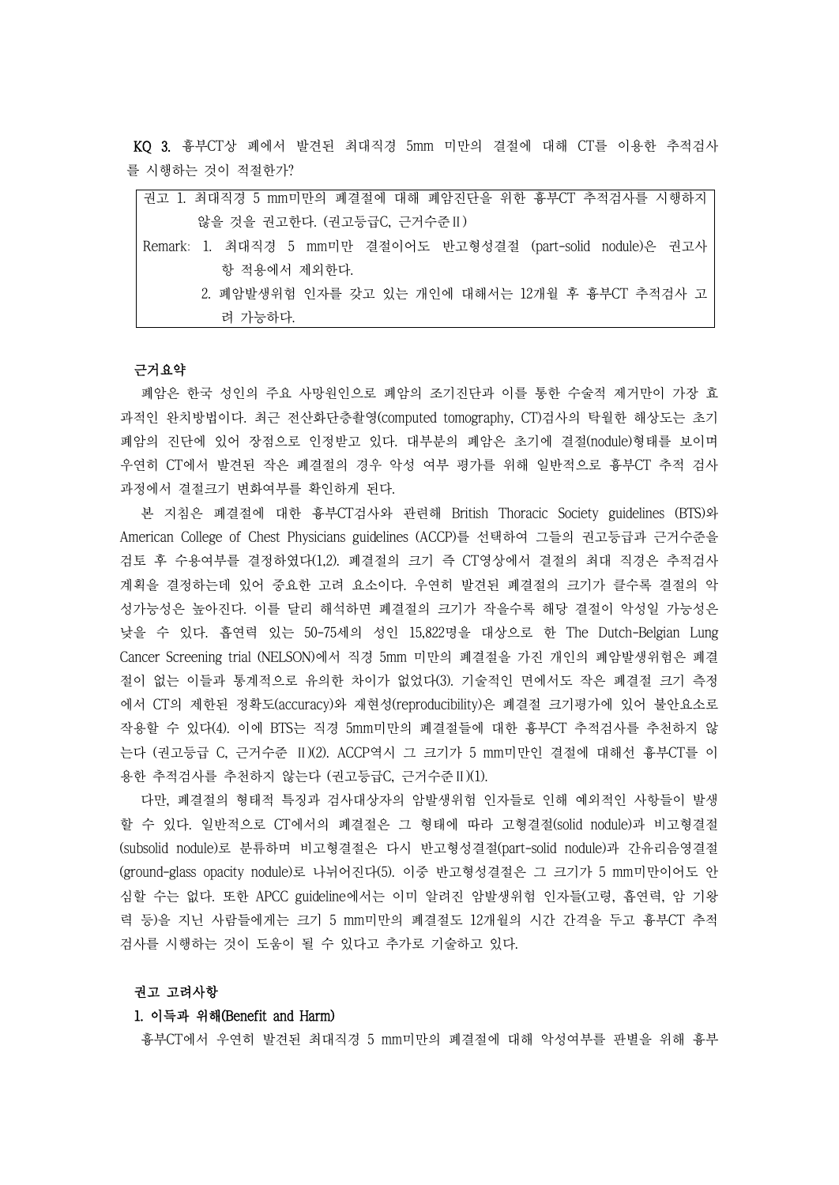KQ 3. 흉부CT상 폐에서 발견된 최대직경 5mm 미만의 결절에 대해 CT를 이용한 추적검사 를 시행하는 것이 적절한가?

| 권고 1. 최대직경 5 mm미만의 폐결절에 대해 폐암진단을 위한 흉부CT 추적검사를 시행하지          |
|--------------------------------------------------------------|
| 않을 것을 권고한다. (권고등급C, 근거수준 II)                                 |
| Remark: 1. 최대직경 5 mm미만 결절이어도 반고형성결절 (part-solid nodule)은 권고사 |
| 항 적용에서 제외한다.                                                 |
| 2. 폐암발생위험 인자를 갖고 있는 개인에 대해서는 12개월 후 흉부CT 추적검사 고              |
| 려 가능하다.                                                      |

#### 근거요약

폐암은 한국 성인의 주요 사망원인으로 폐암의 조기진단과 이를 통한 수술적 제거만이 가장 효 과적인 완치방법이다. 최근 전산화단층촬영(computed tomography, CT)검사의 탁월한 해상도는 초기 폐암의 진단에 있어 장점으로 인정받고 있다. 대부분의 폐암은 초기에 결절(nodule)형태를 보이며 우연히 CT에서 발견된 작은 폐결절의 경우 악성 여부 평가를 위해 일반적으로 흉부CT 추적 검사

과정에서 결절크기 변화여부를 확인하게 된다.<br>- 본 지침은 폐결절에 대한 흉부CT검사와 관련해 British Thoracic Society guidelines (BTS)와 American College of Chest Physicians guidelines (ACCP)를 선택하여 그들의 권고등급과 근거수준을 검토 후 수용여부를 결정하였다(1,2). 폐결절의 크기 즉 CT영상에서 결절의 최대 직경은 추적검사 계획을 결정하는데 있어 중요한 고려 요소이다. 우연히 발견된 폐결절의 크기가 클수록 결절의 악 성가능성은 높아진다. 이를 달리 해석하면 폐결절의 크기가 작을수록 해당 결절이 악성일 가능성은 낮을 수 있다. 흡연력 있는 50-75세의 성인 15,822명을 대상으로 한 The Dutch-Belgian Lung Cancer Screening trial (NELSON)에서 직경 5mm 미만의 폐결절을 가진 개인의 폐암발생위험은 폐결 절이 없는 이들과 통계적으로 유의한 차이가 없었다(3). 기술적인 면에서도 작은 폐결절 크기 측정 에서 CT의 제한된 정확도(accuracy)와 재현성(reproducibility)은 폐결절 크기평가에 있어 불안요소로 작용할 수 있다(4). 이에 BTS는 직경 5mm미만의 폐결절들에 대한 흉부CT 추적검사를 추천하지 않 는다 (권고등급 C, 근거수준 Ⅱ)(2). ACCP역시 그 크기가 5 mm미만인 결절에 대해선 흉부CT를 이 용한 추적검사를 추천하지 않는다 (권고등급C, 근거수준Ⅱ)(1).

다만, 폐결절의 형태적 특징과 검사대상자의 암발생위험 인자들로 인해 예외적인 사항들이 발생 할 수 있다. 일반적으로 CT에서의 폐결절은 그 형태에 따라 고형결절(solid nodule)과 비고형결절 (subsolid nodule)로 분류하며 비고형결절은 다시 반고형성결절(part-solid nodule)과 간유리음영결절 (ground-glass opacity nodule)로 나뉘어진다(5). 이중 반고형성결절은 그 크기가 5 mm미만이어도 안 심할 수는 없다. 또한 APCC guideline에서는 이미 알려진 암발생위험 인자들(고령, 흡연력, 암 기왕 력 등)을 지닌 사람들에게는 크기 5 mm미만의 폐결절도 12개월의 시간 간격을 두고 흉부CT 추적 검사를 시행하는 것이 도움이 될 수 있다고 추가로 기술하고 있다.

### 권고 고려사항

# 1. 이득과 위해(Benefit and Harm)

흉부CT에서 우연히 발견된 최대직경 5 mm미만의 폐결절에 대해 악성여부를 판별을 위해 흉부